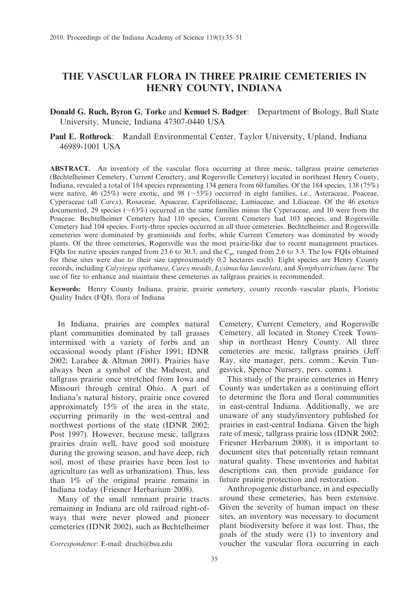# THE VASCULAR FLORA IN THREE PRAIRIE CEMETERIES IN HENRY COUNTY, INDIANA

Donald G. Ruch, Byron G. Torke and Kemuel S. Badger: Department of Biology, Ball State University, Muncie, Indiana 47307-0440 USA

Paul E. Rothrock: Randall Environmental Center, Taylor University, Upland, Indiana 46989-1001 USA

ABSTRACT. An inventory of the vascular flora occurring at three mesic, tallgrass prairie cemeteries (Bechtelheimer Cemetery, Current Cemetery, and Rogersville Cemetery) located in northeast Henry County, Indiana, revealed a total of 184 species representing 134 genera from 60 families. Of the 184 species, 138 (75%) were native, 46 (25%) were exotic, and 98 ( $\sim$ 53%) occurred in eight families, i.e., Asteraceae, Poaceae, Cyperaceae (all Carex), Rosaceae, Apiaceae, Caprifoliaceae, Lamiaceae, and Liliaceae. Of the 46 exotics documented, 29 species ( $\sim$ 63%) occurred in the same families minus the Cyperaceae, and 10 were from the Poaceae. Bechtelheimer Cemetery had 110 species, Current Cemetery had 103 species, and Rogersville Cemetery had 104 species. Forty-three species occurred in all three cemeteries. Bechtelheimer and Rogersville cemeteries were dominated by graminoids and forbs, while Current Cemetery was dominated by woody plants. Of the three cemeteries, Rogersville was the most prairie-like due to recent management practices. FQIs for native species ranged from 23.6 to 30.3, and the  $C_{av}$  ranged from 2.6 to 3.3. The low FQIs obtained for these sites were due to their size (approximately 0.2 hectares each). Eight species are Henry County records, including Calystegia spithamea, Carex meadii, Lysimachia lanceolata, and Symphyotrichum laeve. The use of fire to enhance and maintain these cemeteries as tallgrass prairies is recommended.

Keywords: Henry County Indiana, prairie, prairie cemetery, county records–vascular plants, Floristic Quality Index (FQI), flora of Indiana

In Indiana, prairies are complex natural plant communities dominated by tall grasses intermixed with a variety of forbs and an occasional woody plant (Fisher 1991; IDNR 2002; Larabee & Altman 2001). Prairies have always been a symbol of the Midwest, and tallgrass prairie once stretched from Iowa and Missouri through central Ohio. A part of Indiana's natural history, prairie once covered approximately 15% of the area in the state, occurring primarily in the west-central and northwest portions of the state (IDNR 2002; Post 1997). However, because mesic, tallgrass prairies drain well, have good soil moisture during the growing season, and have deep, rich soil, most of these prairies have been lost to agriculture (as well as urbanization). Thus, less than 1% of the original prairie remains in Indiana today (Friesner Herbarium 2008).

Many of the small remnant prairie tracts remaining in Indiana are old railroad right-ofways that were never plowed and pioneer cemeteries (IDNR 2002), such as Bechtelheimer

Cemetery, Current Cemetery, and Rogersville Cemetery, all located in Stoney Creek Township in northeast Henry County. All three cemeteries are mesic, tallgrass prairies (Jeff Ray, site manager, pers. comm.; Kevin Tungesvick, Spence Nursery, pers. comm.).

This study of the prairie cemeteries in Henry County was undertaken as a continuing effort to determine the flora and floral communities in east-central Indiana. Additionally, we are unaware of any study/inventory published for prairies in east-central Indiana. Given the high rate of mesic, tallgrass prairie loss (IDNR 2002; Friesner Herbarium 2008), it is important to document sites that potentially retain remnant natural quality. These inventories and habitat descriptions can then provide guidance for future prairie protection and restoration.

Anthropogenic disturbance, in and especially around these cemeteries, has been extensive. Given the severity of human impact on these sites, an inventory was necessary to document plant biodiversity before it was lost. Thus, the goals of the study were (1) to inventory and Correspondence: E-mail: druch@bsu.edu voucher the vascular flora occurring in each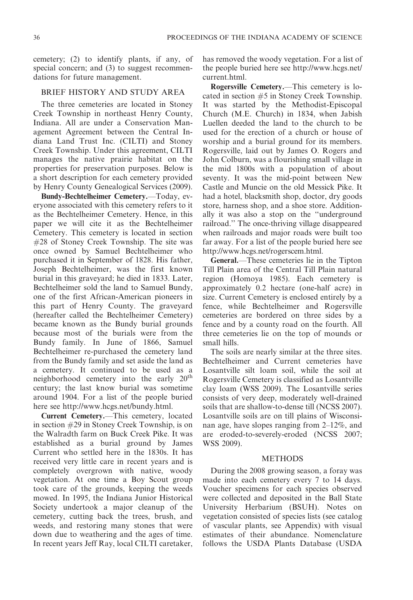cemetery; (2) to identify plants, if any, of special concern; and (3) to suggest recommendations for future management.

## BRIEF HISTORY AND STUDY AREA

The three cemeteries are located in Stoney Creek Township in northeast Henry County, Indiana. All are under a Conservation Management Agreement between the Central Indiana Land Trust Inc. (CILTI) and Stoney Creek Township. Under this agreement, CILTI manages the native prairie habitat on the properties for preservation purposes. Below is a short description for each cemetery provided by Henry County Genealogical Services (2009).

Bundy-Bechtelheimer Cemetery.—Today, everyone associated with this cemetery refers to it as the Bechtelheimer Cemetery. Hence, in this paper we will cite it as the Bechtelheimer Cemetery. This cemetery is located in section #28 of Stoney Creek Township. The site was once owned by Samuel Bechtelheimer who purchased it in September of 1828. His father, Joseph Bechtelheimer, was the first known burial in this graveyard; he died in 1833. Later, Bechtelheimer sold the land to Samuel Bundy, one of the first African-American pioneers in this part of Henry County. The graveyard (hereafter called the Bechtelheimer Cemetery) became known as the Bundy burial grounds because most of the burials were from the Bundy family. In June of 1866, Samuel Bechtelheimer re-purchased the cemetery land from the Bundy family and set aside the land as a cemetery. It continued to be used as a neighborhood cemetery into the early 20<sup>th</sup> century; the last know burial was sometime around 1904. For a list of the people buried here see http://www.hcgs.net/bundy.html.

Current Cemetery.—This cemetery, located in section #29 in Stoney Creek Township, is on the Walradth farm on Buck Creek Pike. It was established as a burial ground by James Current who settled here in the 1830s. It has received very little care in recent years and is completely overgrown with native, woody vegetation. At one time a Boy Scout group took care of the grounds, keeping the weeds mowed. In 1995, the Indiana Junior Historical Society undertook a major cleanup of the cemetery, cutting back the trees, brush, and weeds, and restoring many stones that were down due to weathering and the ages of time. In recent years Jeff Ray, local CILTI caretaker,

has removed the woody vegetation. For a list of the people buried here see http://www.hcgs.net/ current.html.

Rogersville Cemetery.—This cemetery is located in section #5 in Stoney Creek Township. It was started by the Methodist-Episcopal Church (M.E. Church) in 1834, when Jabish Luellen deeded the land to the church to be used for the erection of a church or house of worship and a burial ground for its members. Rogersville, laid out by James O. Rogers and John Colburn, was a flourishing small village in the mid 1800s with a population of about seventy. It was the mid-point between New Castle and Muncie on the old Messick Pike. It had a hotel, blacksmith shop, doctor, dry goods store, harness shop, and a shoe store. Additionally it was also a stop on the ''underground railroad.'' The once-thriving village disappeared when railroads and major roads were built too far away. For a list of the people buried here see http://www.hcgs.net/rogerscem.html.

General.—These cemeteries lie in the Tipton Till Plain area of the Central Till Plain natural region (Homoya 1985). Each cemetery is approximately 0.2 hectare (one-half acre) in size. Current Cemetery is enclosed entirely by a fence, while Bechtelheimer and Rogersville cemeteries are bordered on three sides by a fence and by a county road on the fourth. All three cemeteries lie on the top of mounds or small hills.

The soils are nearly similar at the three sites. Bechtelheimer and Current cemeteries have Losantville silt loam soil, while the soil at Rogersville Cemetery is classified as Losantville clay loam (WSS 2009). The Losantville series consists of very deep, moderately well-drained soils that are shallow-to-dense till (NCSS 2007). Losantville soils are on till plains of Wisconsinan age, have slopes ranging from 2–12%, and are eroded-to-severely-eroded (NCSS 2007; WSS 2009).

## METHODS

During the 2008 growing season, a foray was made into each cemetery every 7 to 14 days. Voucher specimens for each species observed were collected and deposited in the Ball State University Herbarium (BSUH). Notes on vegetation consisted of species lists (see catalog of vascular plants, see Appendix) with visual estimates of their abundance. Nomenclature follows the USDA Plants Database (USDA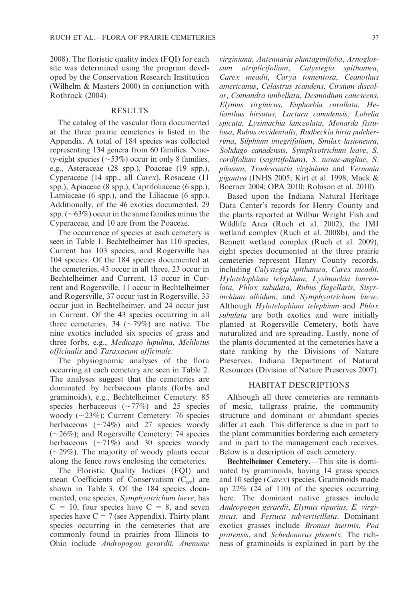2008). The floristic quality index (FQI) for each site was determined using the program developed by the Conservation Research Institution (Wilhelm & Masters 2000) in conjunction with Rothrock (2004).

## RESULTS

The catalog of the vascular flora documented at the three prairie cemeteries is listed in the Appendix. A total of 184 species was collected representing 134 genera from 60 families. Ninety-eight species ( $\sim$ 53%) occur in only 8 families, e.g., Asteraceae (28 spp.), Poaceae (19 spp.), Cyperaceae (14 spp., all Carex), Rosaceae (11 spp.), Apiaceae (8 spp.), Caprifoliaceae (6 spp.), Lamiaceae (6 spp.), and the Liliaceae (6 spp.). Additionally, of the 46 exotics documented, 29 spp.  $(\sim63\%)$  occur in the same families minus the Cyperaceae, and 10 are from the Poaceae.

The occurrence of species at each cemetery is seen in Table 1. Bechtelheimer has 110 species, Current has 103 species, and Rogersville has 104 species. Of the 184 species documented at the cemeteries, 43 occur in all three, 23 occur in Bechtelheimer and Current, 13 occur in Current and Rogersville, 11 occur in Bechtelheimer and Rogersville, 37 occur just in Rogersville, 33 occur just in Bechtelheimer, and 24 occur just in Current. Of the 43 species occurring in all three cemeteries, 34 ( $\sim$ 79%) are native. The nine exotics included six species of grass and three forbs, e.g., Medicago lupulina, Melilotus officinalis and Taraxacum officinale.

The physiognomic analyses of the flora occurring at each cemetery are seen in Table 2. The analyses suggest that the cemeteries are dominated by herbaceous plants (forbs and graminoids), e.g., Bechtelheimer Cemetery: 85 species herbaceous  $(\sim 77\%)$  and 25 species woody  $(\sim 23\%)$ ; Current Cemetery: 76 species herbaceous  $(\sim 74\%)$  and 27 species woody  $(\sim26\%)$ ; and Rogersville Cemetery: 74 species herbaceous  $({\sim}71\%)$  and 30 species woody  $(\sim 29\%)$ . The majority of woody plants occur along the fence rows enclosing the cemeteries.

The Floristic Quality Indices (FQI) and mean Coefficients of Conservatism  $(C_{av})$  are shown in Table 3. Of the 184 species documented, one species, Symphyotrichum laeve, has  $C = 10$ , four species have  $C = 8$ , and seven species have  $C = 7$  (see Appendix). Thirty plant species occurring in the cemeteries that are commonly found in prairies from Illinois to Ohio include Andropogon gerardii, Anemone

virginiana, Antennaria plantaginifolia, Arnoglossum atriplicifolium, Calystegia spithamea, Carex meadii, Carya tomentosa, Ceanothus americanus, Celastrus scandens, Cirsium discolor, Comandra umbellata, Desmodium canescens, Elymus virginicus, Euphorbia corollata, Helianthus hirsutus, Lactuca canadensis, Lobelia spicata, Lysimachia lanceolata, Monarda fistulosa, Rubus occidentalis, Rudbeckia hirta pulcherrima, Silphium integrifolium, Smilax lasioneura, Solidago canadensis, Symphyotrichum leave, S. cordifolium (sagittifolium), S. novae-angliae, S. pilosum, Tradescantia virginiana and Vernonia gigantea (INHS 2005; Kirt et al. 1998; Mack & Boerner 2004; OPA 2010; Robison et al. 2010).

Based upon the Indiana Natural Heritage Data Center's records for Henry County and the plants reported at Wilbur Wright Fish and Wildlife Area (Ruch et al. 2002), the IMI wetland complex (Ruch et al. 2008b), and the Bennett wetland complex (Ruch et al. 2009), eight species documented at the three prairie cemeteries represent Henry County records, including Calystegia spithamea, Carex meadii, Hylotelophium telephium, Lysimachia lanceolata, Phlox subulata, Rubus flagellaris, Sisyrinchium albidum, and Symphyotrichum laeve. Although Hylotelophium telephium and Phlox subulata are both exotics and were initially planted at Rogersville Cemetery, both have naturalized and are spreading. Lastly, none of the plants documented at the cemeteries have a state ranking by the Divisions of Nature Preserves, Indiana Department of Natural Resources (Division of Nature Preserves 2007).

## HABITAT DESCRIPTIONS

Although all three cemeteries are remnants of mesic, tallgrass prairie, the community structure and dominant or abundant species differ at each. This difference is due in part to the plant communities bordering each cemetery and in part to the management each receives. Below is a description of each cemetery.

Bechtelheimer Cemetery.—This site is dominated by graminoids, having 14 grass species and 10 sedge (Carex) species. Graminoids made up 22% (24 of 110) of the species occurring here. The dominant native grasses include Andropogon gerardii, Elymus riparius, E. virginicus, and Festuca subverticillata. Dominant exotics grasses include Bromus inermis, Poa pratensis, and Schedonorus phoenix. The richness of graminoids is explained in part by the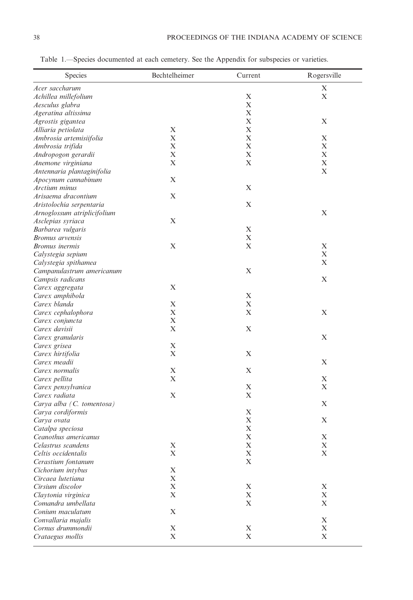| Species                     | Bechtelheimer | Current     | Rogersville |
|-----------------------------|---------------|-------------|-------------|
| Acer saccharum              |               |             | X           |
| Achillea millefolium        |               | X           | X           |
| Aesculus glabra             |               | X           |             |
| Ageratina altissima         |               | X           |             |
| Agrostis gigantea           |               | X           | X           |
| Alliaria petiolata          | X             | $\mathbf X$ |             |
| Ambrosia artemisiifolia     | X             | X           | X           |
| Ambrosia trifida            | X             | X           | X           |
| Andropogon gerardii         | X             | $\mathbf X$ | X           |
| Anemone virginiana          | X             | X           | X           |
| Antennaria plantaginifolia  |               |             | X           |
| Apocynum cannabinum         | X             |             |             |
| Arctium minus               |               | X           |             |
| Arisaema dracontium         | X             |             |             |
| Aristolochia serpentaria    |               | X           |             |
| Arnoglossum atriplicifolium |               |             | X           |
| Asclepias syriaca           | X             |             |             |
| Barbarea vulgaris           |               | X           |             |
| Bromus arvensis             |               | X           |             |
| Bromus inermis              | X             | X           | X           |
| Calystegia sepium           |               |             | X           |
| Calystegia spithamea        |               |             | X           |
| Campanulastrum americanum   |               | X           |             |
| Campsis radicans            |               |             | X           |
| Carex aggregata             | X             |             |             |
| Carex amphibola             |               | X           |             |
| Carex blanda                | X             | X           |             |
| Carex cephalophora          | X             | X           | X           |
| Carex conjuncta             | X             |             |             |
| Carex davisii               | X             | X           |             |
| Carex granularis            |               |             | X           |
| Carex grisea                | X             |             |             |
| Carex hirtifolia            | $\mathbf X$   | X           |             |
| Carex meadii                |               |             | X           |
| Carex normalis              | X             | X           |             |
| Carex pellita               | $\mathbf X$   |             | X           |
| Carex pensylvanica          |               | X           | X           |
| Carex radiata               | X             | X           |             |
| Carya alba (C. tomentosa)   |               |             | X           |
| Carya cordiformis           |               | X           |             |
| Carya ovata                 |               | X           | X           |
| Catalpa speciosa            |               | X           |             |
| Ceanothus americanus        |               | X           | Х           |
| Celastrus scandens          | $\mathbf X$   | $\mathbf X$ | X           |
| Celtis occidentalis         | $\mathbf X$   | X           | X           |
| Cerastium fontanum          |               | X           |             |
| Cichorium intybus           | X             |             |             |
| Circaea lutetiana           | $\mathbf X$   |             |             |
| Cirsium discolor            | X             | X           | X           |
| Claytonia virginica         | $\mathbf X$   | $\mathbf X$ | X           |
| Comandra umbellata          |               | X           | X           |
| Conium maculatum            | X             |             |             |
| Convallaria majalis         |               |             | X           |
| Cornus drummondii           | X             | X           | X           |
| Crataegus mollis            | X             | X           | X           |
|                             |               |             |             |

Table 1.—Species documented at each cemetery. See the Appendix for subspecies or varieties.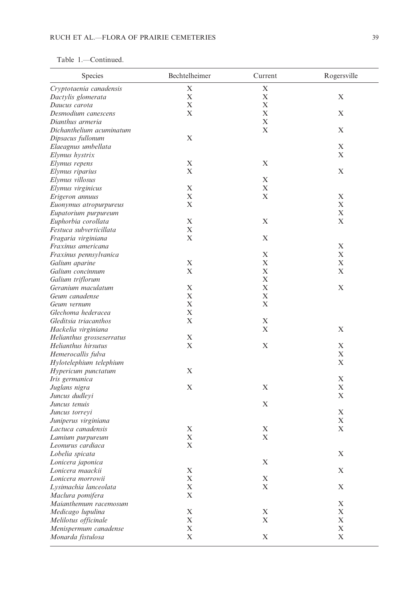# Table 1.—Continued.

| Species                   | Bechtelheimer | Current     | Rogersville |
|---------------------------|---------------|-------------|-------------|
| Cryptotaenia canadensis   | X             | X           |             |
| Dactylis glomerata        | X             | $\mathbf X$ | X           |
| Daucus carota             | X             | X           |             |
| Desmodium canescens       | X             | X           | X           |
| Dianthus armeria          |               | X           |             |
| Dichanthelium acuminatum  |               | $\mathbf X$ | X           |
| Dipsacus fullonum         | $\mathbf X$   |             |             |
| Elaeagnus umbellata       |               |             | X           |
| Elymus hystrix            |               |             | X           |
| Elymus repens             | X             | X           |             |
| Elymus riparius           | X             |             | X           |
| Elymus villosus           |               | X           |             |
| Elymus virginicus         | X             | X           |             |
| Erigeron annuus           | X             | X           | $\mathbf X$ |
| Euonymus atropurpureus    | X             |             | X           |
| Eupatorium purpureum      |               |             | X           |
| Euphorbia corollata       | $\mathbf X$   | X           | X           |
| Festuca subverticillata   | $\mathbf X$   |             |             |
| Fragaria virginiana       | X             | X           |             |
| Fraxinus americana        |               |             | $\mathbf X$ |
| Fraxinus pennsylvanica    |               | X           | X           |
| Galium aparine            | $\mathbf X$   | X           | X           |
| Galium concinnum          | $\mathbf X$   | X           | X           |
| Galium triflorum          |               | X           |             |
| Geranium maculatum        | X             | X           | X           |
| Geum canadense            | X             | X           |             |
| Geum vernum               | X             | X           |             |
| Glechoma hederacea        | $\mathbf X$   |             |             |
| Gleditsia triacanthos     | X             | X           |             |
| Hackelia virginiana       |               | X           | X           |
| Helianthus grosseserratus | X             |             |             |
| Helianthus hirsutus       | X             | X           | X           |
| Hemerocallis fulva        |               |             | X           |
| Hylotelephium telephium   |               |             | X           |
| Hypericum punctatum       | X             |             |             |
| Iris germanica            |               |             | X           |
| Juglans nigra             | X             | X           | X           |
| Juncus dudleyi            |               |             | X           |
| Juncus tenuis             |               | X           |             |
| Juncus torreyi            |               |             | X           |
| Juniperus virginiana      |               |             | X           |
| Lactuca canadensis        | X             | X           | Х           |
| Lamium purpureum          | X             | X           |             |
| Leonurus cardiaca         | X             |             |             |
| Lobelia spicata           |               |             | X           |
| Lonicera japonica         |               | X           |             |
| Lonicera maackii          | $\mathbf X$   |             | X           |
| Lonicera morrowii         | X             | X           |             |
| Lysimachia lanceolata     | $\mathbf X$   | $\mathbf X$ | X           |
| Maclura pomifera          | $\mathbf X$   |             |             |
| Maianthemum racemosum     |               |             | X           |
| Medicago lupulina         | $\mathbf X$   | X           | X           |
| Melilotus officinale      | X             | X           | X           |
| Menispermum canadense     | X             |             | X           |
| Monarda fistulosa         | $\mathbf X$   | X           | X           |
|                           |               |             |             |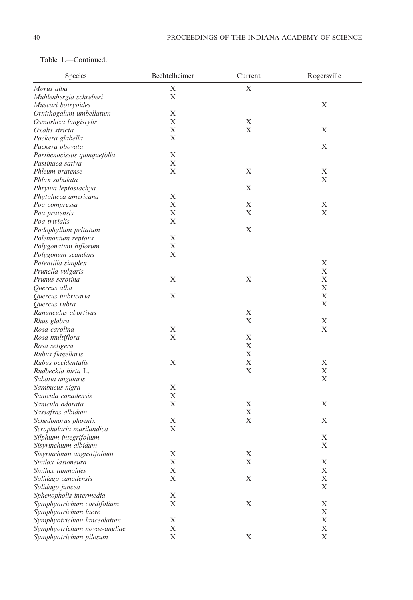| Table 1. | Continued. |
|----------|------------|
|          |            |

| Species                      | Bechtelheimer | Current     | Rogersville      |
|------------------------------|---------------|-------------|------------------|
| Morus alba                   | X             | X           |                  |
| Muhlenbergia schreberi       | $\mathbf X$   |             |                  |
| Muscari botryoides           |               |             | X                |
| Ornithogalum umbellatum      | $\mathbf X$   |             |                  |
| Osmorhiza longistylis        | $\mathbf X$   | X           |                  |
| Oxalis stricta               | $\mathbf X$   | X           | X                |
| Packera glabella             | X             |             |                  |
| Packera obovata              |               |             | $\mathbf X$      |
| Parthenocissus quinquefolia  | X             |             |                  |
| Pastinaca sativa             | X             |             |                  |
| Phleum pratense              | $\mathbf X$   | X           | X                |
| Phlox subulata               |               |             | X                |
| Phryma leptostachya          |               | X           |                  |
| Phytolacca americana         | $\mathbf X$   |             |                  |
| Poa compressa                | X             | X           | X                |
| Poa pratensis                | X             | X           | X                |
| Poa trivialis                | X             |             |                  |
| Podophyllum peltatum         |               | X           |                  |
| Polemonium reptans           | X             |             |                  |
| Polygonatum biflorum         | $\mathbf X$   |             |                  |
| Polygonum scandens           | $\mathbf X$   |             |                  |
| Potentilla simplex           |               |             | X                |
| Prunella vulgaris            |               |             | X                |
| Prunus serotina              | X             | X           | X                |
| Quercus alba                 |               |             | X                |
| Quercus imbricaria           | $\mathbf X$   |             | X                |
| Quercus rubra                |               |             | X                |
| Ranunculus abortivus         |               | X           |                  |
| Rhus glabra                  |               | X           | $\mathbf X$      |
| Rosa carolina                | X             |             | X                |
| Rosa multiflora              | X             | X           |                  |
| Rosa setigera                |               | X           |                  |
| Rubus flagellaris            |               | X           |                  |
| Rubus occidentalis           | X             | X           | X                |
| Rudbeckia hirta L.           |               | $\mathbf X$ | X                |
| Sabatia angularis            |               |             | X                |
| Sambucus nigra               | X             |             |                  |
| Sanicula canadensis          | X             |             |                  |
| Sanicula odorata             | X             | X           | X                |
| Sassafras albidum            |               | X           |                  |
| Schedonorus phoenix          | X             | $\mathbf X$ | X                |
| Scrophularia marilandica     | X             |             |                  |
| Silphium integrifolium       |               |             | X                |
| Sisyrinchium albidum         |               |             | Х                |
| Sisyrinchium angustifolium   | Х             | X           |                  |
| Smilax lasioneura            | $\mathbf X$   | X           | X                |
| Smilax tamnoides             | X             |             | X                |
| Solidago canadensis          | X             | X           | X<br>$\mathbf X$ |
| Solidago juncea              |               |             |                  |
| Sphenopholis intermedia      | X             | X           | X                |
| Symphyotrichum cordifolium   | X             |             | X                |
| Symphyotrichum laeve         |               |             | X                |
| Symphyotrichum lanceolatum   | X             |             |                  |
| Symphyotrichum novae-angliae | X             |             | X                |
| Symphyotrichum pilosum       | X             | X           | $\mathbf X$      |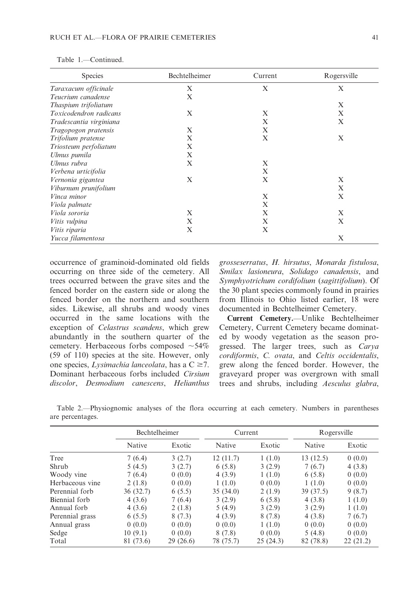| <b>Species</b>          | Bechtelheimer | Current | Rogersville |
|-------------------------|---------------|---------|-------------|
| Taraxacum officinale    | X             | X       | X           |
| Teucrium canadense      | X             |         |             |
| Thaspium trifoliatum    |               |         | X           |
| Toxicodendron radicans  | X             | X       | X           |
| Tradescantia virginiana |               | X       | X           |
| Tragopogon pratensis    | X             | X       |             |
| Trifolium pratense      | X             | X       | X           |
| Triosteum perfoliatum   | X             |         |             |
| Ulmus pumila            | X             |         |             |
| Ulmus rubra             | X             | X       |             |
| Verbena urticifolia     |               | X       |             |
| Vernonia gigantea       | X             | X       | X           |
| Viburnum prunifolium    |               |         | X           |
| Vinca minor             |               | X       | X           |
| Viola palmate           |               | X       |             |
| Viola sororia           | X             | X       | X           |
| Vitis vulpina           | X             | X       | X           |
| Vitis riparia           | X             | X       |             |
| Yucca filamentosa       |               |         | X           |

| Table $1 -$ | -Continued. |
|-------------|-------------|
|-------------|-------------|

occurrence of graminoid-dominated old fields occurring on three side of the cemetery. All trees occurred between the grave sites and the fenced border on the eastern side or along the fenced border on the northern and southern sides. Likewise, all shrubs and woody vines occurred in the same locations with the exception of Celastrus scandens, which grew abundantly in the southern quarter of the cemetery. Herbaceous forbs composed  $\sim$  54% (59 of 110) species at the site. However, only one species, *Lysimachia lanceolata*, has a  $C \ge 7$ . Dominant herbaceous forbs included Cirsium discolor, Desmodium canescens, Helianthus grosseserratus, H. hirsutus, Monarda fistulosa, Smilax lasioneura, Solidago canadensis, and Symphyotrichum cordifolium (sagittifolium). Of the 30 plant species commonly found in prairies from Illinois to Ohio listed earlier, 18 were documented in Bechtelheimer Cemetery.

Current Cemetery.—Unlike Bechtelheimer Cemetery, Current Cemetery became dominated by woody vegetation as the season progressed. The larger trees, such as Carya cordiformis, C. ovata, and Celtis occidentalis, grew along the fenced border. However, the graveyard proper was overgrown with small trees and shrubs, including Aesculus glabra,

| Table 2.—Physiognomic analyses of the flora occurring at each cemetery. Numbers in parentheses |  |  |  |  |  |
|------------------------------------------------------------------------------------------------|--|--|--|--|--|
| are percentages.                                                                               |  |  |  |  |  |

|                 | <b>Bechtelheimer</b> |          | Current       |          | Rogersville   |          |  |
|-----------------|----------------------|----------|---------------|----------|---------------|----------|--|
|                 | Native               | Exotic   | <b>Native</b> | Exotic   | <b>Native</b> | Exotic   |  |
| Tree            | 7(6.4)               | 3(2.7)   | 12(11.7)      | 1(1.0)   | 13(12.5)      | 0(0.0)   |  |
| Shrub           | 5(4.5)               | 3(2.7)   | 6(5.8)        | 3(2.9)   | 7(6.7)        | 4(3.8)   |  |
| Woody vine      | 7(6.4)               | 0(0.0)   | 4(3.9)        | 1(1.0)   | 6(5.8)        | 0(0.0)   |  |
| Herbaceous vine | 2(1.8)               | 0(0.0)   | 1(1.0)        | 0(0.0)   | 1(1.0)        | 0(0.0)   |  |
| Perennial forb  | 36(32.7)             | 6(5.5)   | 35(34.0)      | 2(1.9)   | 39 (37.5)     | 9(8.7)   |  |
| Biennial forb   | 4(3.6)               | 7(6.4)   | 3(2.9)        | 6(5.8)   | 4(3.8)        | 1(1.0)   |  |
| Annual forb     | 4(3.6)               | 2(1.8)   | 5(4.9)        | 3(2.9)   | 3(2.9)        | 1(1.0)   |  |
| Perennial grass | 6(5.5)               | 8(7.3)   | 4(3.9)        | 8(7.8)   | 4(3.8)        | 7(6.7)   |  |
| Annual grass    | 0(0.0)               | 0(0.0)   | 0(0.0)        | 1(1.0)   | 0(0.0)        | 0(0.0)   |  |
| Sedge           | 10(9.1)              | 0(0.0)   | 8(7.8)        | 0(0.0)   | 5(4.8)        | 0(0.0)   |  |
| Total           | 81 (73.6)            | 29(26.6) | 78 (75.7)     | 25(24.3) | 82 (78.8)     | 22(21.2) |  |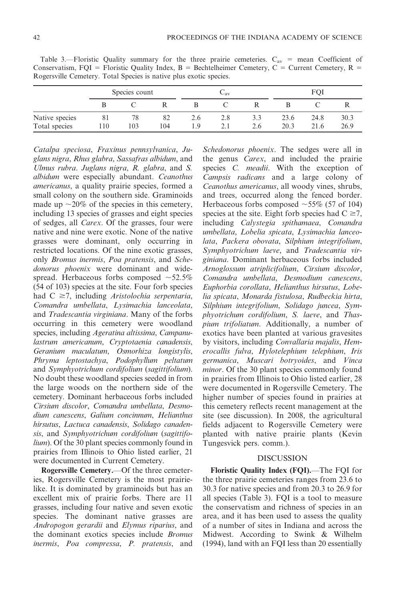| Rogersvine Cemetery. Total Species is native plus exotic species. |               |    |                 |     |  |      |      |      |
|-------------------------------------------------------------------|---------------|----|-----------------|-----|--|------|------|------|
|                                                                   | Species count |    | $\cup_{\rm av}$ |     |  | FOI  |      |      |
|                                                                   |               |    |                 |     |  |      |      |      |
| Native species                                                    |               | 82 | 2.6             | 2.8 |  | 23.6 | 24.8 | 30.3 |

Total species 110 103 104 1.9 2.1 2.6 20.3 21.6 26.9

Table 3.—Floristic Quality summary for the three prairie cemeteries.  $C_{av}$  = mean Coefficient of Conservatism, FQI = Floristic Quality Index, B = Bechtelheimer Cemetery, C = Current Cemetery, R = Rogersville Cemetery. Total Species is native plus exotic species.

Catalpa speciosa, Fraxinus pennsylvanica, Juglans nigra, Rhus glabra, Sassafras albidum, and Ulmus rubra. Juglans nigra, R. glabra, and S. albidum were especially abundant. Ceanothus americanus, a quality prairie species, formed a small colony on the southern side. Graminoids made up  $\sim$ 20% of the species in this cemetery, including 13 species of grasses and eight species of sedges, all Carex. Of the grasses, four were native and nine were exotic. None of the native grasses were dominant, only occurring in restricted locations. Of the nine exotic grasses, only Bromus inermis, Poa pratensis, and Schedonorus phoenix were dominant and widespread. Herbaceous forbs composed  $\sim$  52.5% (54 of 103) species at the site. Four forb species had  $C \geq 7$ , including *Aristolochia serpentaria*, Comandra umbellata, Lysimachia lanceolata, and Tradescantia virginiana. Many of the forbs occurring in this cemetery were woodland species, including Ageratina altissima, Campanulastrum americanum, Cryptotaenia canadensis, Geranium maculatum, Osmorhiza longistylis, Phryma leptostachya, Podophyllum peltatum and Symphyotrichum cordifolium (sagittifolium). No doubt these woodland species seeded in from the large woods on the northern side of the cemetery. Dominant herbaceous forbs included Cirsium discolor, Comandra umbellata, Desmodium canescens, Galium concinnum, Helianthus hirsutus, Lactuca canadensis, Solidago canadensis, and Symphyotrichum cordifolium (sagittifo*lium*). Of the 30 plant species commonly found in prairies from Illinois to Ohio listed earlier, 21 were documented in Current Cemetery.

Rogersville Cemetery.—Of the three cemeteries, Rogersville Cemetery is the most prairielike. It is dominated by graminoids but has an excellent mix of prairie forbs. There are 11 grasses, including four native and seven exotic species. The dominant native grasses are Andropogon gerardii and Elymus riparius, and the dominant exotics species include Bromus inermis, Poa compressa, P. pratensis, and

Schedonorus phoenix. The sedges were all in the genus Carex, and included the prairie species C. meadii. With the exception of Campsis radicans and a large colony of Ceanothus americanus, all woody vines, shrubs, and trees, occurred along the fenced border. Herbaceous forbs composed  $\sim$  55% (57 of 104) species at the site. Eight forb species had  $C \ge 7$ , including Calystegia spithamaea, Comandra umbellata, Lobelia spicata, Lysimachia lanceolata, Packera obovata, Silphium integrifolium, Symphyotrichum laeve, and Tradescantia virginiana. Dominant herbaceous forbs included Arnoglossum atriplicifolium, Cirsium discolor, Comandra umbellata, Desmodium canescens, Euphorbia corollata, Helianthus hirsutus, Lobelia spicata, Monarda fistulosa, Rudbeckia hirta, Silphium integrifolium, Solidago juncea, Symphyotrichum cordifolium, S. laeve, and Thaspium trifoliatum. Additionally, a number of exotics have been planted at various gravesites by visitors, including Convallaria majalis, Hemerocallis fulva, Hylotelephium telephium, Iris germanica, Muscari botryoides, and Vinca minor. Of the 30 plant species commonly found in prairies from Illinois to Ohio listed earlier, 28 were documented in Rogersville Cemetery. The higher number of species found in prairies at this cemetery reflects recent management at the site (see discussion). In 2008, the agricultural fields adjacent to Rogersville Cemetery were planted with native prairie plants (Kevin Tungesvick pers. comm.).

## DISCUSSION

Floristic Quality Index (FQI).—The FQI for the three prairie cemeteries ranges from 23.6 to 30.3 for native species and from 20.3 to 26.9 for all species (Table 3). FQI is a tool to measure the conservatism and richness of species in an area, and it has been used to assess the quality of a number of sites in Indiana and across the Midwest. According to Swink & Wilhelm (1994), land with an FQI less than 20 essentially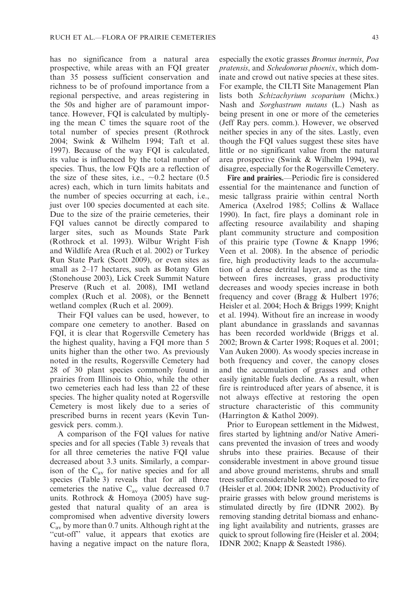has no significance from a natural area prospective, while areas with an FQI greater than 35 possess sufficient conservation and richness to be of profound importance from a regional perspective, and areas registering in the 50s and higher are of paramount importance. However, FQI is calculated by multiplying the mean C times the square root of the total number of species present (Rothrock 2004; Swink & Wilhelm 1994; Taft et al. 1997). Because of the way FQI is calculated, its value is influenced by the total number of species. Thus, the low FQIs are a reflection of the size of these sites, i.e.,  $\sim 0.2$  hectare (0.5) acres) each, which in turn limits habitats and the number of species occurring at each, i.e., just over 100 species documented at each site. Due to the size of the prairie cemeteries, their FQI values cannot be directly compared to larger sites, such as Mounds State Park (Rothrock et al. 1993). Wilbur Wright Fish and Wildlife Area (Ruch et al. 2002) or Turkey Run State Park (Scott 2009), or even sites as small as 2–17 hectares, such as Botany Glen (Stonehouse 2003), Lick Creek Summit Nature Preserve (Ruch et al. 2008), IMI wetland complex (Ruch et al. 2008), or the Bennett wetland complex (Ruch et al. 2009).

Their FQI values can be used, however, to compare one cemetery to another. Based on FQI, it is clear that Rogersville Cemetery has the highest quality, having a FQI more than 5 units higher than the other two. As previously noted in the results, Rogersville Cemetery had 28 of 30 plant species commonly found in prairies from Illinois to Ohio, while the other two cemeteries each had less than 22 of these species. The higher quality noted at Rogersville Cemetery is most likely due to a series of prescribed burns in recent years (Kevin Tungesvick pers. comm.).

A comparison of the FQI values for native species and for all species (Table 3) reveals that for all three cemeteries the native FQI value decreased about 3.3 units. Similarly, a comparison of the  $C_{av}$  for native species and for all species (Table 3) reveals that for all three cemeteries the native  $C_{av}$  value decreased 0.7 units. Rothrock & Homoya (2005) have suggested that natural quality of an area is compromised when adventive diversity lowers  $C_{av}$  by more than 0.7 units. Although right at the "cut-off" value, it appears that exotics are having a negative impact on the nature flora,

especially the exotic grasses Bromus inermis, Poa pratensis, and Schedonorus phoenix, which dominate and crowd out native species at these sites. For example, the CILTI Site Management Plan lists both Schizachyrium scoparium (Michx.) Nash and Sorghastrum nutans (L.) Nash as being present in one or more of the cemeteries (Jeff Ray pers. comm.). However, we observed neither species in any of the sites. Lastly, even though the FQI values suggest these sites have little or no significant value from the natural area prospective (Swink & Wilhelm 1994), we disagree, especially for the Rogersville Cemetery.

Fire and prairies.—Periodic fire is considered essential for the maintenance and function of mesic tallgrass prairie within central North America (Axelrod 1985; Collins & Wallace 1990). In fact, fire plays a dominant role in affecting resource availability and shaping plant community structure and composition of this prairie type (Towne & Knapp 1996; Veen et al. 2008). In the absence of periodic fire, high productivity leads to the accumulation of a dense detrital layer, and as the time between fires increases, grass productivity decreases and woody species increase in both frequency and cover (Bragg & Hulbert 1976; Heisler et al. 2004; Hoch & Briggs 1999; Knight et al. 1994). Without fire an increase in woody plant abundance in grasslands and savannas has been recorded worldwide (Briggs et al. 2002; Brown & Carter 1998; Roques et al. 2001; Van Auken 2000). As woody species increase in both frequency and cover, the canopy closes and the accumulation of grasses and other easily ignitable fuels decline. As a result, when fire is reintroduced after years of absence, it is not always effective at restoring the open structure characteristic of this community (Harrington & Kathol 2009).

Prior to European settlement in the Midwest, fires started by lightning and/or Native Americans prevented the invasion of trees and woody shrubs into these prairies. Because of their considerable investment in above ground tissue and above ground meristems, shrubs and small trees suffer considerable loss when exposed to fire (Heisler et al. 2004; IDNR 2002). Productivity of prairie grasses with below ground meristems is stimulated directly by fire (IDNR 2002). By removing standing detrital biomass and enhancing light availability and nutrients, grasses are quick to sprout following fire (Heisler et al. 2004; IDNR 2002; Knapp & Seastedt 1986).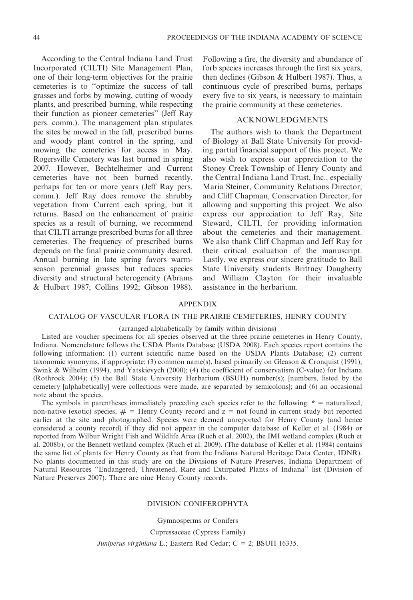According to the Central Indiana Land Trust Incorporated (CILTI) Site Management Plan, one of their long-term objectives for the prairie cemeteries is to ''optimize the success of tall grasses and forbs by mowing, cutting of woody plants, and prescribed burning, while respecting their function as pioneer cemeteries'' (Jeff Ray pers. comm.). The management plan stipulates the sites be mowed in the fall, prescribed burns and woody plant control in the spring, and mowing the cemeteries for access in May. Rogersville Cemetery was last burned in spring 2007. However, Bechtelheimer and Current cemeteries have not been burned recently, perhaps for ten or more years (Jeff Ray pers. comm.). Jeff Ray does remove the shrubby vegetation from Current each spring, but it returns. Based on the enhancement of prairie species as a result of burning, we recommend that CILTI arrange prescribed burns for all three cemeteries. The frequency of prescribed burns depends on the final prairie community desired. Annual burning in late spring favors warmseason perennial grasses but reduces species diversity and structural heterogeneity (Abrams & Hulbert 1987; Collins 1992; Gibson 1988).

Following a fire, the diversity and abundance of forb species increases through the first six years, then declines (Gibson & Hulbert 1987). Thus, a continuous cycle of prescribed burns, perhaps every five to six years, is necessary to maintain the prairie community at these cemeteries.

## ACKNOWLEDGMENTS

The authors wish to thank the Department of Biology at Ball State University for providing partial financial support of this project. We also wish to express our appreciation to the Stoney Creek Township of Henry County and the Central Indiana Land Trust, Inc., especially Maria Steiner, Community Relations Director, and Cliff Chapman, Conservation Director, for allowing and supporting this project. We also express our appreciation to Jeff Ray, Site Steward, CILTI, for providing information about the cemeteries and their management. We also thank Cliff Chapman and Jeff Ray for their critical evaluation of the manuscript. Lastly, we express our sincere gratitude to Ball State University students Brittney Daugherty and William Clayton for their invaluable assistance in the herbarium.

## APPENDIX

## CATALOG OF VASCULAR FLORA IN THE PRAIRIE CEMETERIES, HENRY COUNTY

## (arranged alphabetically by family within divisions)

Listed are voucher specimens for all species observed at the three prairie cemeteries in Henry County, Indiana. Nomenclature follows the USDA Plants Database (USDA 2008). Each species report contains the following information: (1) current scientific name based on the USDA Plants Database; (2) current taxonomic synonyms, if appropriate; (3) common name(s), based primarily on Gleason & Cronquist (1991), Swink & Wilhelm (1994), and Yatskievych (2000); (4) the coefficient of conservatism (C-value) for Indiana (Rothrock 2004); (5) the Ball State University Herbarium (BSUH) number(s); [numbers, listed by the cemetery [alphabetically] were collections were made, are separated by semicolons]; and (6) an occasional note about the species.

The symbols in parentheses immediately preceding each species refer to the following:  $* =$  naturalized, non-native (exotic) species,  $# =$  Henry County record and  $z =$  not found in current study but reported earlier at the site and photographed. Species were deemed unreported for Henry County (and hence considered a county record) if they did not appear in the computer database of Keller et al. (1984) or reported from Wilbur Wright Fish and Wildlife Area (Ruch et al. 2002), the IMI wetland complex (Ruch et al. 2008b), or the Bennett wetland complex (Ruch et al. 2009). (The database of Keller et al. (1984) contains the same list of plants for Henry County as that from the Indiana Natural Heritage Data Center, IDNR). No plants documented in this study are on the Divisions of Nature Preserves, Indiana Department of Natural Resources ''Endangered, Threatened, Rare and Extirpated Plants of Indiana'' list (Division of Nature Preserves 2007). There are nine Henry County records.

### DIVISION CONIFEROPHYTA

Gymnosperms or Conifers

Cupressaceae (Cypress Family)

Juniperus virginiana L.; Eastern Red Cedar; C = 2; BSUH 16335.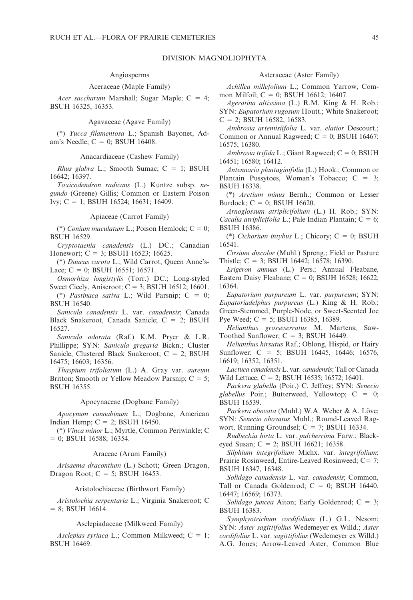## DIVISION MAGNOLIOPHYTA

#### Angiosperms

## Aceraceae (Maple Family)

Acer saccharum Marshall; Sugar Maple;  $C = 4$ ; BSUH 16325, 16353.

Agavaceae (Agave Family)

(\*) Yucca filamentosa L.; Spanish Bayonet, Adam's Needle;  $C = 0$ ; BSUH 16408.

Anacardiaceae (Cashew Family)

Rhus glabra L.; Smooth Sumac;  $C = 1$ ; BSUH 16642; 16397.

Toxicodendron radicans (L.) Kuntze subsp. negundo (Greene) Gillis; Common or Eastern Poison Ivy; C = 1; BSUH 16524; 16631; 16409.

#### Apiaceae (Carrot Family)

(\*) Conium maculatum L.; Poison Hemlock;  $C = 0$ ; BSUH 16529.

Cryptotaenia canadensis (L.) DC.; Canadian Honewort;  $C = 3$ ; BSUH 16523; 16625.

(\*) Daucus carota L.; Wild Carrot, Queen Anne's-Lace; C = 0; BSUH 16551; 16571.

Osmorhiza longistylis (Torr.) DC.; Long-styled Sweet Cicely, Aniseroot;  $C = 3$ ; BSUH 16512; 16601.

(\*) Pastinaca sativa L.; Wild Parsnip;  $C = 0$ ; BSUH 16540.

Sanicula canadensis L. var. canadensis; Canada Black Snakeroot, Canada Sanicle;  $C = 2$ ; BSUH 16527.

Sanicula odorata (Raf.) K.M. Pryer & L.R. Phillippe; SYN: Sanicula gregaria Bickn.; Cluster Sanicle, Clustered Black Snakeroot;  $C = 2$ ; BSUH 16475; 16603; 16356.

Thaspium trifoliatum (L.) A. Gray var. aureum Britton; Smooth or Yellow Meadow Parsnip;  $C = 5$ ; BSUH 16355.

### Apocynaceae (Dogbane Family)

Apocynum cannabinum L.; Dogbane, American Indian Hemp;  $C = 2$ ; BSUH 16450.

(\*) Vinca minor L.; Myrtle, Common Periwinkle; C  $= 0$ ; BSUH 16588; 16354.

## Araceae (Arum Family)

Arisaema dracontium (L.) Schott; Green Dragon, Dragon Root;  $C = 5$ ; BSUH 16453.

#### Aristolochiaceae (Birthwort Family)

Aristolochia serpentaria L.; Virginia Snakeroot; C  $= 8$ ; BSUH 16614.

### Asclepiadaceae (Milkweed Family)

Asclepias syriaca L.; Common Milkweed;  $C = 1$ ; BSUH 16469.

## Asteraceae (Aster Family)

Achillea millefolium L.; Common Yarrow, Common Milfoil;  $C = 0$ ; BSUH 16612; 16407.

Ageratina altissima (L.) R.M. King & H. Rob.; SYN: Eupatorium rugosum Houtt.; White Snakeroot;  $C = 2$ ; BSUH 16582, 16583.

Ambrosia artemisiifolia L. var. elatior Descourt.; Common or Annual Ragweed;  $C = 0$ ; BSUH 16467; 16575; 16380.

Ambrosia trifida L.; Giant Ragweed;  $C = 0$ ; BSUH 16451; 16580; 16412.

Antennaria plantaginifolia (L.) Hook.; Common or Plantain Pussytoes, Woman's Tobacco;  $C = 3$ ; BSUH 16338.

(\*) Arctium minus Bernh.; Common or Lesser Burdock;  $C = 0$ ; BSUH 16620.

Arnoglossum atriplicifolium (L.) H. Rob.; SYN: *Cacalia atriplicifolia* L.; Pale Indian Plantain;  $C = 6$ ; BSUH 16386.

(\*) Cichorium intybus L.; Chicory;  $C = 0$ ; BSUH 16541.

Cirsium discolor (Muhl.) Spreng.; Field or Pasture Thistle;  $C = 3$ ; BSUH 16442; 16578; 16390.

Erigeron annuus (L.) Pers.; Annual Fleabane, Eastern Daisy Fleabane;  $C = 0$ ; BSUH 16528; 16622; 16364.

Eupatorium purpureum L. var. purpureum; SYN: Eupatoriadelphus purpureus (L.) King & H. Rob.; Green-Stemmed, Purple-Node, or Sweet-Scented Joe Pye Weed;  $C = 5$ ; BSUH 16385, 16389.

Helianthus grosseserratus M. Martens; Saw-Toothed Sunflower;  $C = 3$ ; BSUH 16449.

Helianthus hirsutus Raf.; Oblong, Hispid, or Hairy Sunflower; C = 5; BSUH 16445, 16446; 16576, 16619; 16352, 16351.

Lactuca canadensis L. var. canadensis; Tall or Canada Wild Lettuce;  $C = 2$ ; BSUH 16535; 16572; 16401.

Packera glabella (Poir.) C. Jeffrey; SYN: Senecio glabellus Poir.; Butterweed, Yellowtop;  $C = 0$ ; BSUH 16539.

Packera obovata (Muhl.) W.A. Weber & A. Löve; SYN: Senecio obovatus Muhl.; Round-Leaved Ragwort, Running Groundsel;  $C = 7$ ; BSUH 16334.

Rudbeckia hirta L. var. pulcherrima Farw.; Blackeyed Susan; C = 2; BSUH 16621; 16358.

Silphium integrifolium Michx. var. integrifolium; Prairie Rosinweed, Entire-Leaved Rosinweed; C= 7; BSUH 16347, 16348.

Solidago canadensis L. var. canadensis; Common, Tall or Canada Goldenrod;  $C = 0$ ; BSUH 16440, 16447; 16569; 16373.

Solidago juncea Aiton; Early Goldenrod;  $C = 3$ ; BSUH 16383.

Symphyotrichum cordifolium (L.) G.L. Nesom; SYN: Aster sagittifolius Wedemeyer ex Willd.; Aster cordifolius L. var. sagittifolius (Wedemeyer ex Willd.) A.G. Jones; Arrow-Leaved Aster, Common Blue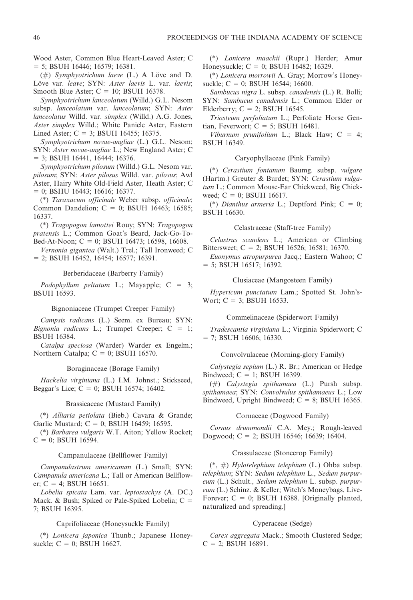Wood Aster, Common Blue Heart-Leaved Aster; C  $=$  5; BSUH 16446; 16579; 16381.

(#) Symphyotrichum laeve (L.) A Löve and D. Löve var. leave; SYN: Aster laevis L. var. laevis; Smooth Blue Aster;  $C = 10$ ; BSUH 16378.

Symphyotrichum lanceolatum (Willd.) G.L. Nesom subsp. lanceolatum var. lanceolatum; SYN: Aster lanceolatus Willd. var. simplex (Willd.) A.G. Jones, Aster simplex Willd.; White Panicle Aster, Eastern Lined Aster;  $C = 3$ ; BSUH 16455; 16375.

Symphyotrichum novae-angliae (L.) G.L. Nesom; SYN: Aster novae-angliae L.; New England Aster; C  $=$  3; BSUH 16441, 16444; 16376.

Symphyotrichum pilosum (Willd.) G.L. Nesom var. pilosum; SYN: Aster pilosus Willd. var. pilosus; Awl Aster, Hairy White Old-Field Aster, Heath Aster; C  $= 0$ ; BSHU 16443; 16616; 16377.

(\*) Taraxacum officinale Weber subsp. officinale; Common Dandelion;  $C = 0$ ; BSUH 16463; 16585; 16337.

(\*) Tragopogon lamottei Rouy; SYN: Tragopogon pratensis L.; Common Goat's Beard, Jack-Go-To-Bed-At-Noon;  $C = 0$ ; BSUH 16473; 16598, 16608.

Vernonia gigantea (Walt.) Trel.; Tall Ironweed; C  $= 2$ ; BSUH 16452, 16454; 16577; 16391.

Berberidaceae (Barberry Family)

Podophyllum peltatum L.; Mayapple;  $C = 3$ ; BSUH 16593.

Bignoniaceae (Trumpet Creeper Family)

Campsis radicans (L.) Seem. ex Bureau; SYN: Bignonia radicans L.; Trumpet Creeper;  $C = 1$ ; BSUH 16384.

Catalpa speciosa (Warder) Warder ex Engelm.; Northern Catalpa;  $C = 0$ ; BSUH 16570.

Boraginaceae (Borage Family)

Hackelia virginiana (L.) I.M. Johnst.; Stickseed, Beggar's Lice;  $C = 0$ ; BSUH 16574; 16402.

## Brassicaceae (Mustard Family)

(\*) Alliaria petiolata (Bieb.) Cavara & Grande; Garlic Mustard;  $C = 0$ ; BSUH 16459; 16595.

(\*) Barbarea vulgaris W.T. Aiton; Yellow Rocket;  $C = 0$ ; BSUH 16594.

## Campanulaceae (Bellflower Family)

Campanulastrum americanum (L.) Small; SYN: Campanula americana L.; Tall or American Bellflower; C = 4; BSUH 16651.

Lobelia spicata Lam. var. leptostachys (A. DC.) Mack. & Bush; Spiked or Pale-Spiked Lobelia;  $C =$ 7; BSUH 16395.

### Caprifoliaceae (Honeysuckle Family)

(\*) Lonicera japonica Thunb.; Japanese Honeysuckle;  $C = 0$ ; BSUH 16627.

(\*) Lonicera maackii (Rupr.) Herder; Amur Honeysuckle;  $C = 0$ ; BSUH 16482; 16329.

(\*) Lonicera morrowii A. Gray; Morrow's Honeysuckle;  $C = 0$ ; BSUH 16544; 16600.

Sambucus nigra L. subsp. canadensis (L.) R. Bolli; SYN: Sambucus canadensis L.; Common Elder or Elderberry;  $C = 2$ ; BSUH 16545.

Triosteum perfoliatum L.; Perfoliate Horse Gentian, Feverwort;  $C = 5$ ; BSUH 16481.

Viburnum prunifolium L.; Black Haw;  $C = 4$ ; BSUH 16349.

## Caryophyllaceae (Pink Family)

(\*) Cerastium fontanum Baumg. subsp. vulgare (Hartm.) Greuter & Burdet; SYN: Cerastium vulgatum L.; Common Mouse-Ear Chickweed, Big Chickweed;  $C = 0$ ; BSUH 16617.

(\*) Dianthus armeria L.; Deptford Pink;  $C = 0$ ; BSUH 16630.

#### Celastraceae (Staff-tree Family)

Celastrus scandens L.; American or Climbing Bittersweet; C = 2; BSUH 16526; 16581; 16370.

Euonymus atropurpurea Jacq.; Eastern Wahoo; C  $=$  5; BSUH 16517; 16392.

## Clusiaceae (Mangosteen Family)

Hypericum punctatum Lam.; Spotted St. John's-Wort;  $C = 3$ ; BSUH 16533.

#### Commelinaceae (Spiderwort Family)

Tradescantia virginiana L.; Virginia Spiderwort; C  $= 7$ ; BSUH 16606; 16330.

Convolvulaceae (Morning-glory Family)

Calystegia sepium (L.) R. Br.; American or Hedge Bindweed;  $C = 1$ ; BSUH 16399.

(#) Calystegia spithamaea (L.) Pursh subsp. spithamaea; SYN: Convolvulus spithamaeus L.; Low Bindweed, Upright Bindweed;  $C = 8$ ; BSUH 16365.

## Cornaceae (Dogwood Family)

Cornus drummondii C.A. Mey.; Rough-leaved Dogwood; C = 2; BSUH 16546; 16639; 16404.

## Crassulaceae (Stonecrop Family)

 $(*, #)$  Hylotelephium telephium (L.) Ohba subsp. telephium; SYN: Sedum telephium L., Sedum purpureum (L.) Schult., Sedum telephium L. subsp. purpureum (L.) Schinz. & Keller; Witch's Moneybags, Live-Forever;  $C = 0$ ; BSUH 16388. [Originally planted, naturalized and spreading.]

## Cyperaceae (Sedge)

Carex aggregata Mack.; Smooth Clustered Sedge;  $C = 2$ ; BSUH 16891.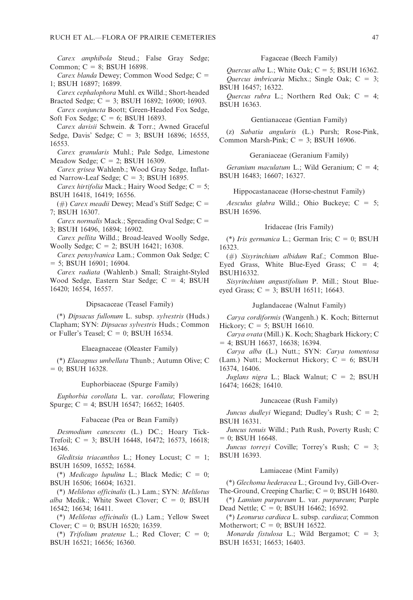Carex amphibola Steud.; False Gray Sedge; Common;  $C = 8$ ; BSUH 16898.

Carex blanda Dewey; Common Wood Sedge;  $C =$ 1; BSUH 16897; 16899.

Carex cephalophora Muhl. ex Willd.; Short-headed Bracted Sedge; C = 3; BSUH 16892; 16900; 16903.

Carex conjuncta Boott; Green-Headed Fox Sedge, Soft Fox Sedge;  $C = 6$ ; BSUH 16893.

Carex davisii Schwein. & Torr.; Awned Graceful Sedge, Davis' Sedge;  $C = 3$ ; BSUH 16896; 16555, 16553.

Carex granularis Muhl.; Pale Sedge, Limestone Meadow Sedge;  $C = 2$ ; BSUH 16309.

Carex grisea Wahlenb.; Wood Gray Sedge, Inflated Narrow-Leaf Sedge;  $C = 3$ ; BSUH 16895.

Carex hirtifolia Mack.; Hairy Wood Sedge;  $C = 5$ ; BSUH 16418, 16419; 16556.

(#) Carex meadii Dewey; Mead's Stiff Sedge;  $C =$ 7; BSUH 16307.

Carex normalis Mack.; Spreading Oval Sedge;  $C =$ 3; BSUH 16496, 16894; 16902.

Carex pellita Willd.; Broad-leaved Woolly Sedge, Woolly Sedge;  $C = 2$ ; BSUH 16421; 16308.

Carex pensylvanica Lam.; Common Oak Sedge; C  $=$  5; BSUH 16901; 16904.

Carex radiata (Wahlenb.) Small; Straight-Styled Wood Sedge, Eastern Star Sedge;  $C = 4$ ; BSUH 16420; 16554, 16557.

## Dipsacaceae (Teasel Family)

(\*) Dipsacus fullonum L. subsp. sylvestris (Huds.) Clapham; SYN: Dipsacus sylvestris Huds.; Common or Fuller's Teasel;  $C = 0$ ; BSUH 16534.

## Elaeagnaceae (Oleaster Family)

(\*) Elaeagnus umbellata Thunb.; Autumn Olive; C  $= 0$ ; BSUH 16328.

Euphorbiaceae (Spurge Family)

Euphorbia corollata L. var. corollata; Flowering Spurge; C = 4; BSUH 16547; 16652; 16405.

#### Fabaceae (Pea or Bean Family)

Desmodium canescens (L.) DC.; Hoary Tick-Trefoil; C = 3; BSUH 16448, 16472; 16573, 16618; 16346.

Gleditsia triacanthos L.; Honey Locust;  $C = 1$ ; BSUH 16509, 16552; 16584.

(\*) Medicago lupulina L.; Black Medic;  $C = 0$ ; BSUH 16506; 16604; 16321.

(\*) Melilotus officinalis (L.) Lam.; SYN: Melilotus alba Medik.; White Sweet Clover;  $C = 0$ ; BSUH 16542; 16634; 16411.

(\*) Melilotus officinalis (L.) Lam.; Yellow Sweet Clover; C = 0; BSUH 16520; 16359.

(\*) Trifolium pratense L.; Red Clover;  $C = 0$ ; BSUH 16521; 16656; 16360.

#### Fagaceae (Beech Family)

Ouercus alba L.; White Oak;  $C = 5$ ; BSUH 16362. Quercus imbricaria Michx.; Single Oak;  $C = 3$ ; BSUH 16457; 16322.

Quercus rubra L.; Northern Red Oak;  $C = 4$ ; BSUH 16363.

#### Gentianaceae (Gentian Family)

(z) Sabatia angularis (L.) Pursh; Rose-Pink, Common Marsh-Pink;  $C = 3$ ; BSUH 16906.

Geraniaceae (Geranium Family)

Geranium maculatum L.; Wild Geranium;  $C = 4$ ; BSUH 16483; 16607; 16327.

#### Hippocastanaceae (Horse-chestnut Family)

Aesculus glabra Willd.; Ohio Buckeye;  $C = 5$ ; BSUH 16596.

## Iridaceae (Iris Family)

(\*) Iris germanica L.; German Iris;  $C = 0$ ; BSUH 16323.

(#) Sisyrinchium albidum Raf.; Common Blue-Eyed Grass, White Blue-Eyed Grass;  $C = 4$ ; BSUH16332.

Sisyrinchium angustifolium P. Mill.; Stout Blueeyed Grass;  $C = 3$ ; BSUH 16511; 16643.

#### Juglandaceae (Walnut Family)

Carya cordiformis (Wangenh.) K. Koch; Bitternut Hickory;  $C = 5$ ; BSUH 16610.

Carya ovata (Mill.) K. Koch; Shagbark Hickory; C  $= 4$ ; BSUH 16637, 16638; 16394.

Carya alba (L.) Nutt.; SYN: Carya tomentosa (Lam.) Nutt.; Mockernut Hickory;  $C = 6$ ; BSUH 16374, 16406.

Juglans nigra L.; Black Walnut;  $C = 2$ ; BSUH 16474; 16628; 16410.

## Juncaceae (Rush Family)

Juncus dudleyi Wiegand; Dudley's Rush;  $C = 2$ ; BSUH 16331.

Juncus tenuis Willd.; Path Rush, Poverty Rush; C  $= 0$ ; BSUH 16648.

Juncus torreyi Coville; Torrey's Rush;  $C = 3$ ; BSUH 16393.

## Lamiaceae (Mint Family)

(\*) Glechoma hederacea L.; Ground Ivy, Gill-Over-The-Ground, Creeping Charlie;  $C = 0$ ; BSUH 16480.

(\*) Lamium purpureum L. var. purpureum; Purple Dead Nettle;  $C = 0$ ; BSUH 16462; 16592.

(\*) Leonurus cardiaca L. subsp. cardiaca; Common Motherwort;  $C = 0$ ; BSUH 16522.

Monarda fistulosa L.; Wild Bergamot;  $C = 3$ ; BSUH 16531; 16653; 16403.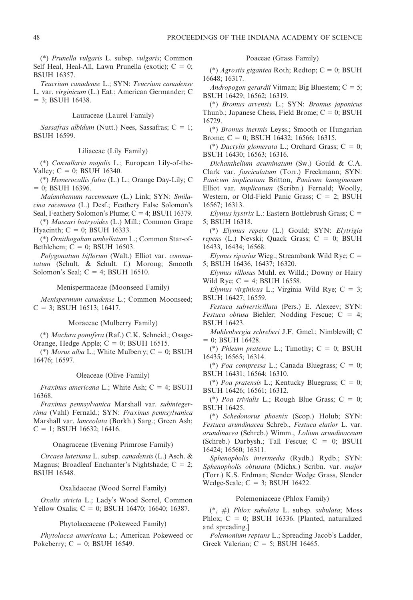(\*) Prunella vulgaris L. subsp. vulgaris; Common Self Heal, Heal-All, Lawn Prunella (exotic);  $C = 0$ ; BSUH 16357.

Teucrium canadense L.; SYN: Teucrium canadense L. var. virginicum (L.) Eat.; American Germander; C  $=$  3; BSUH 16438.

## Lauraceae (Laurel Family)

Sassafras albidum (Nutt.) Nees, Sassafras;  $C = 1$ ; BSUH 16599.

## Liliaceae (Lily Family)

(\*) Convallaria majalis L.; European Lily-of-the-Valley;  $C = 0$ ; BSUH 16340.

(\*) Hemerocallis fulva (L.) L.; Orange Day-Lily; C  $= 0$ ; BSUH 16396.

Maianthemum racemosum (L.) Link; SYN: Smilacina racemosa (L.) Desf.; Feathery False Solomon's Seal, Feathery Solomon's Plume;  $C = 4$ ; BSUH 16379.

(\*) Muscari botryoides (L.) Mill.; Common Grape Hyacinth;  $C = 0$ ; BSUH 16333.

(\*) Ornithogalum umbellatum L.; Common Star-of-Bethlehem;  $C = 0$ ; BSUH 16503.

Polygonatum biflorum (Walt.) Elliot var. commutatum (Schult. & Schult. f.) Morong; Smooth Solomon's Seal;  $C = 4$ ; BSUH 16510.

#### Menispermaceae (Moonseed Family)

Menispermum canadense L.; Common Moonseed;  $C = 3$ ; BSUH 16513; 16417.

Moraceae (Mulberry Family)

(\*) Maclura pomifera (Raf.) C.K. Schneid.; Osage-Orange, Hedge Apple;  $C = 0$ ; BSUH 16515.

(\*) Morus alba L.; White Mulberry;  $C = 0$ ; BSUH 16476; 16597.

### Oleaceae (Olive Family)

*Fraxinus americana* L.; White Ash;  $C = 4$ ; BSUH 16368.

Fraxinus pennsylvanica Marshall var. subintegerrima (Vahl) Fernald.; SYN: Fraxinus pennsylvanica Marshall var. lanceolata (Borkh.) Sarg.; Green Ash;  $C = 1$ ; BSUH 16632; 16416.

## Onagraceae (Evening Primrose Family)

Circaea lutetiana L. subsp. canadensis (L.) Asch. & Magnus; Broadleaf Enchanter's Nightshade;  $C = 2$ ; BSUH 16548.

## Oxalidaceae (Wood Sorrel Family)

Oxalis stricta L.; Lady's Wood Sorrel, Common Yellow Oxalis;  $C = 0$ ; BSUH 16470; 16640; 16387.

## Phytolaccaceae (Pokeweed Family)

Phytolacca americana L.; American Pokeweed or Pokeberry;  $C = 0$ ; BSUH 16549.

## Poaceae (Grass Family)

(\*) Agrostis gigantea Roth; Redtop;  $C = 0$ ; BSUH 16648; 16317.

Andropogon gerardii Vitman; Big Bluestem;  $C = 5$ ; BSUH 16429; 16562; 16319.

(\*) Bromus arvensis L.; SYN: Bromus japonicus Thunb.; Japanese Chess, Field Brome;  $C = 0$ ; BSUH 16729.

(\*) Bromus inermis Leyss.; Smooth or Hungarian Brome; C = 0; BSUH 16432; 16566; 16315.

(\*) Dactylis glomerata L.; Orchard Grass;  $C = 0$ ; BSUH 16430; 16563; 16316.

Dichanthelium acuminatum (Sw.) Gould & C.A. Clark var. fasciculatum (Torr.) Freckmann; SYN: Panicum implicatum Britton, Panicum lanuginosum Elliot var. implicatum (Scribn.) Fernald; Woolly, Western, or Old-Field Panic Grass;  $C = 2$ ; BSUH 16567; 16313.

Elymus hystrix L.: Eastern Bottlebrush Grass;  $C =$ 5; BSUH 16318.

(\*) Elymus repens (L.) Gould; SYN: Elytrigia repens (L.) Nevski; Quack Grass;  $C = 0$ ; BSUH 16433, 16434; 16568.

Elymus riparius Wieg.; Streambank Wild Rye;  $C =$ 5; BSUH 16436, 16437; 16320.

Elymus villosus Muhl. ex Willd.; Downy or Hairy Wild Rye;  $C = 4$ ; BSUH 16558.

Elymus virginicus L.; Virginia Wild Rye;  $C = 3$ ; BSUH 16427; 16559.

Festuca subverticillata (Pers.) E. Alexeev; SYN: Festuca obtusa Biehler; Nodding Fescue;  $C = 4$ ; BSUH 16423.

Muhlenbergia schreberi J.F. Gmel.; Nimblewill; C  $= 0$ ; BSUH 16428.

(\*) Phleum pratense L.; Timothy;  $C = 0$ ; BSUH 16435; 16565; 16314.

(\*) Poa compressa L.; Canada Bluegrass;  $C = 0$ ; BSUH 16431; 16564; 16310.

(\*) Poa pratensis L.; Kentucky Bluegrass;  $C = 0$ ; BSUH 16426; 16561; 16312.

(\*) Poa trivialis L.; Rough Blue Grass;  $C = 0$ ; BSUH 16425.

(\*) Schedonorus phoenix (Scop.) Holub; SYN: Festuca arundinacea Schreb., Festuca elatior L. var. arundinacea (Schreb.) Wimm., Lolium arundinaceum (Schreb.) Darbysh.; Tall Fescue;  $C = 0$ ; BSUH 16424; 16560; 16311.

Sphenopholis intermedia (Rydb.) Rydb.; SYN: Sphenopholis obtusata (Michx.) Scribn. var. major (Torr.) K.S. Erdman; Slender Wedge Grass, Slender Wedge-Scale;  $C = 3$ ; BSUH 16422.

## Polemoniaceae (Phlox Family)

 $(*, #)$  Phlox subulata L. subsp. subulata; Moss Phlox;  $C = 0$ ; BSUH 16336. [Planted, naturalized and spreading.]

Polemonium reptans L.; Spreading Jacob's Ladder, Greek Valerian;  $C = 5$ ; BSUH 16465.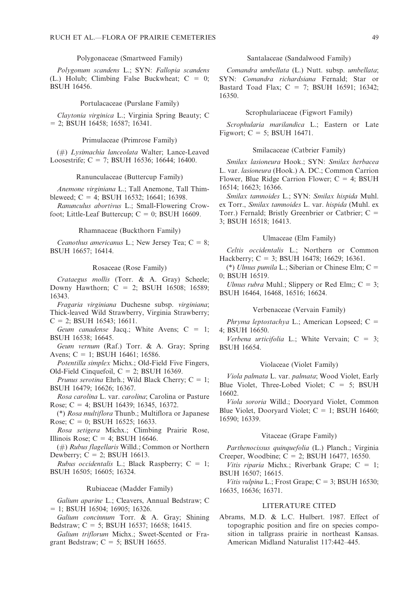## Polygonaceae (Smartweed Family)

Polygonum scandens L.; SYN: Fallopia scandens (L.) Holub; Climbing False Buckwheat;  $C = 0$ ; BSUH 16456.

#### Portulacaceae (Purslane Family)

Claytonia virginica L.; Virginia Spring Beauty; C  $= 2$ ; BSUH 16458; 16587; 16341.

### Primulaceae (Primrose Family)

(#) Lysimachia lanceolata Walter; Lance-Leaved Loosestrife; C = 7; BSUH 16536; 16644; 16400.

#### Ranunculaceae (Buttercup Family)

Anemone virginiana L.; Tall Anemone, Tall Thimbleweed;  $C = 4$ ; BSUH 16532; 16641; 16398.

Ranunculus abortivus L.; Small-Flowering Crowfoot; Little-Leaf Buttercup;  $C = 0$ ; BSUH 16609.

## Rhamnaceae (Buckthorn Family)

Ceanothus americanus L.; New Jersey Tea;  $C = 8$ ; BSUH 16657; 16414.

#### Rosaceae (Rose Family)

Crataegus mollis (Torr. & A. Gray) Scheele; Downy Hawthorn;  $C = 2$ ; BSUH 16508; 16589; 16343.

Fragaria virginiana Duchesne subsp. virginiana; Thick-leaved Wild Strawberry, Virginia Strawberry;  $C = 2$ ; BSUH 16543; 16611.

Geum canadense Jacq.; White Avens;  $C = 1$ ; BSUH 16538; 16645.

Geum vernum (Raf.) Torr. & A. Gray; Spring Avens;  $C = 1$ ; BSUH 16461; 16586.

Potentilla simplex Michx.; Old-Field Five Fingers, Old-Field Cinquefoil,  $C = 2$ ; BSUH 16369.

Prunus serotina Ehrh.; Wild Black Cherry;  $C = 1$ ; BSUH 16479; 16626; 16367.

Rosa carolina L. var. carolina; Carolina or Pasture Rose; C = 4; BSUH 16439; 16345, 16372.

(\*) Rosa multiflora Thunb.; Multiflora or Japanese Rose; C = 0; BSUH 16525; 16633.

Rosa setigera Michx.; Climbing Prairie Rose, Illinois Rose;  $C = 4$ ; BSUH 16646.

(#) Rubus flagellaris Willd.; Common or Northern Dewberry;  $C = 2$ ; BSUH 16613.

Rubus occidentalis L.; Black Raspberry;  $C = 1$ ; BSUH 16505; 16605; 16324.

#### Rubiaceae (Madder Family)

Galium aparine L.; Cleavers, Annual Bedstraw; C  $= 1$ ; BSUH 16504; 16905; 16326.

Galium concinnum Torr. & A. Gray; Shining Bedstraw;  $C = 5$ ; BSUH 16537; 16658; 16415.

Galium triflorum Michx.; Sweet-Scented or Fragrant Bedstraw;  $C = 5$ ; BSUH 16655.

## Santalaceae (Sandalwood Family)

Comandra umbellata (L.) Nutt. subsp. umbellata; SYN: Comandra richardsiana Fernald; Star or Bastard Toad Flax;  $C = 7$ ; BSUH 16591; 16342; 16350.

### Scrophulariaceae (Figwort Family)

Scrophularia marilandica L.; Eastern or Late Figwort;  $C = 5$ ; BSUH 16471.

## Smilacaceae (Catbrier Family)

Smilax lasioneura Hook.; SYN: Smilax herbacea L. var. lasioneura (Hook.) A. DC.; Common Carrion Flower, Blue Ridge Carrion Flower;  $C = 4$ ; BSUH 16514; 16623; 16366.

Smilax tamnoides L.; SYN: Smilax hispida Muhl. ex Torr., Smilax tamnoides L. var. hispida (Muhl. ex Torr.) Fernald; Bristly Greenbrier or Catbrier;  $C =$ 3; BSUH 16518; 16413.

## Ulmaceae (Elm Family)

Celtis occidentalis L.; Northern or Common Hackberry;  $C = 3$ ; BSUH 16478; 16629; 16361.

(\*) Ulmus pumila L.; Siberian or Chinese Elm;  $C =$ 0; BSUH 16519.

Ulmus rubra Muhl.; Slippery or Red Elm;;  $C = 3$ ; BSUH 16464, 16468, 16516; 16624.

## Verbenaceae (Vervain Family)

Phryma leptostachya L.; American Lopseed;  $C =$ 4; BSUH 16650.

Verbena urticifolia L.; White Vervain;  $C = 3$ ; BSUH 16654.

#### Violaceae (Violet Family)

Viola palmata L. var. palmata; Wood Violet, Early Blue Violet, Three-Lobed Violet;  $C = 5$ ; BSUH 16602.

Viola sororia Willd.; Dooryard Violet, Common Blue Violet, Doorvard Violet;  $C = 1$ ; BSUH 16460; 16590; 16339.

### Vitaceae (Grape Family)

Parthenocissus quinquefolia (L.) Planch.; Virginia Creeper, Woodbine; C = 2; BSUH 16477, 16550.

Vitis riparia Michx.; Riverbank Grape;  $C = 1$ ; BSUH 16507; 16615.

Vitis vulpina L.; Frost Grape;  $C = 3$ ; BSUH 16530; 16635, 16636; 16371.

## LITERATURE CITED

Abrams, M.D. & L.C. Hulbert. 1987. Effect of topographic position and fire on species composition in tallgrass prairie in northeast Kansas. American Midland Naturalist 117:442–445.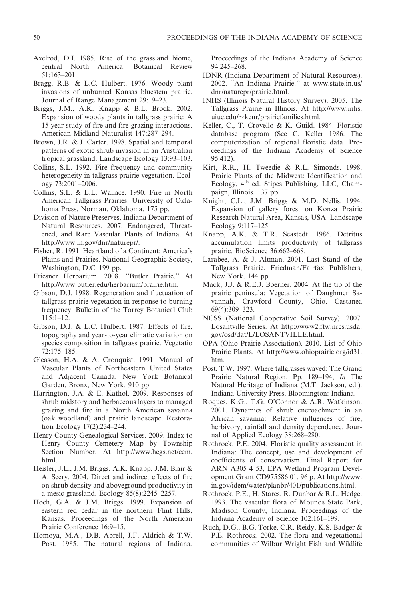- Axelrod, D.I. 1985. Rise of the grassland biome, central North America. Botanical Review 51:163–201.
- Bragg, R.B. & L.C. Hulbert. 1976. Woody plant invasions of unburned Kansas bluestem prairie. Journal of Range Management 29:19–23.
- Briggs, J.M., A.K. Knapp & B.L. Brock. 2002. Expansion of woody plants in tallgrass prairie: A 15-year study of fire and fire-grazing interactions. American Midland Naturalist 147:287–294.
- Brown, J.R. & J. Carter. 1998. Spatial and temporal patterns of exotic shrub invasion in an Australian tropical grassland. Landscape Ecology 13:93–103.
- Collins, S.L. 1992. Fire frequency and community heterogeneity in tallgrass prairie vegetation. Ecology 73:2001–2006.
- Collins, S.L. & L.L. Wallace. 1990. Fire in North American Tallgrass Prairies. University of Oklahoma Press, Norman, Oklahoma. 175 pp.
- Division of Nature Preserves, Indiana Department of Natural Resources. 2007. Endangered, Threatened, and Rare Vascular Plants of Indiana. At http://www.in.gov/dnr/naturepr/.
- Fisher, R. 1991. Heartland of a Continent: America's Plains and Prairies. National Geographic Society, Washington, D.C. 199 pp.
- Friesner Herbarium. 2008. ''Butler Prairie.'' At http://www.butler.edu/herbarium/prairie.htm.
- Gibson, D.J. 1988. Regeneration and fluctuation of tallgrass prairie vegetation in response to burning frequency. Bulletin of the Torrey Botanical Club 115:1–12.
- Gibson, D.J. & L.C. Hulbert. 1987. Effects of fire, topography and year-to-year climatic variation on species composition in tallgrass prairie. Vegetatio 72:175–185.
- Gleason, H.A. & A. Cronquist. 1991. Manual of Vascular Plants of Northeastern United States and Adjacent Canada. New York Botanical Garden, Bronx, New York. 910 pp.
- Harrington, J.A. & E. Kathol. 2009. Responses of shrub midstory and herbaceous layers to managed grazing and fire in a North American savanna (oak woodland) and prairie landscape. Restoration Ecology 17(2):234–244.
- Henry County Genealogical Services. 2009. Index to Henry County Cemetery Map by Township Section Number. At http://www.hcgs.net/cem. html.
- Heisler, J.L., J.M. Briggs, A.K. Knapp, J.M. Blair & A. Seery. 2004. Direct and indirect effects of fire on shrub density and aboveground productivity in a mesic grassland. Ecology 85(8):2245–2257.
- Hoch, G.A. & J.M. Briggs. 1999. Expansion of eastern red cedar in the northern Flint Hills, Kansas. Proceedings of the North American Prairie Conference 16:9–15.
- Homoya, M.A., D.B. Abrell, J.F. Aldrich & T.W. Post. 1985. The natural regions of Indiana.

Proceedings of the Indiana Academy of Science 94:245–268.

- IDNR (Indiana Department of Natural Resources). 2002. ''An Indiana Prairie.'' at www.state.in.us/ dnr/naturepr/prairie.html.
- INHS (Illinois Natural History Survey). 2005. The Tallgrass Prairie in Illinois. At http://www.inhs.  $u$ iuc.edu/ $\sim$ kenr/prairiefamilies.html.
- Keller, C., T. Crovello & K. Guild. 1984. Floristic database program (See C. Keller 1986. The computerization of regional floristic data. Proceedings of the Indiana Academy of Science 95:412).
- Kirt, R.R., H. Tweedie & R.L. Simonds. 1998. Prairie Plants of the Midwest: Identification and Ecology, 4<sup>th</sup> ed. Stipes Publishing, LLC, Champaign, Illinois. 137 pp.
- Knight, C.L., J.M. Briggs & M.D. Nellis. 1994. Expansion of gallery forest on Konza Prairie Research Natural Area, Kansas, USA. Landscape Ecology 9:117–125.
- Knapp, A.K. & T.R. Seastedt. 1986. Detritus accumulation limits productivity of tallgrass prairie. BioScience 36:662–668.
- Larabee, A. & J. Altman. 2001. Last Stand of the Tallgrass Prairie. Friedman/Fairfax Publishers, New York. 144 pp.
- Mack, J.J. & R.E.J. Boerner. 2004. At the tip of the prairie peninsula: Vegetation of Daughmer Savannah, Crawford County, Ohio. Castanea 69(4):309–323.
- NCSS (National Cooperative Soil Survey). 2007. Losantville Series. At http://www2.ftw.nrcs.usda. gov/osd/dat/L/LOSANTVILLE.html.
- OPA (Ohio Prairie Association). 2010. List of Ohio Prairie Plants. At http://www.ohioprairie.org/id31. htm.
- Post, T.W. 1997. Where tallgrasses waved: The Grand Prairie Natural Region. Pp. 189–194, In The Natural Heritage of Indiana (M.T. Jackson, ed.). Indiana University Press, Bloomington: Indiana.
- Roques, K.G., T.G. O'Connor & A.R. Watkinson. 2001. Dynamics of shrub encroachment in an African savanna: Relative influences of fire, herbivory, rainfall and density dependence. Journal of Applied Ecology 38:268–280.
- Rothrock, P.E. 2004. Floristic quality assessment in Indiana: The concept, use and development of coefficients of conservatism. Final Report for ARN A305 4 53, EPA Wetland Program Development Grant CD975586 01. 96 p. At http://www. in.gov/idem/water/planbr/401/publications.html.
- Rothrock, P.E., H. Starcs, R. Dunbar & R.L. Hedge. 1993. The vascular flora of Mounds State Park, Madison County, Indiana. Proceedings of the Indiana Academy of Science 102:161–199.
- Ruch, D.G., B.G. Torke, C.R. Reidy, K.S. Badger & P.E. Rothrock. 2002. The flora and vegetational communities of Wilbur Wright Fish and Wildlife